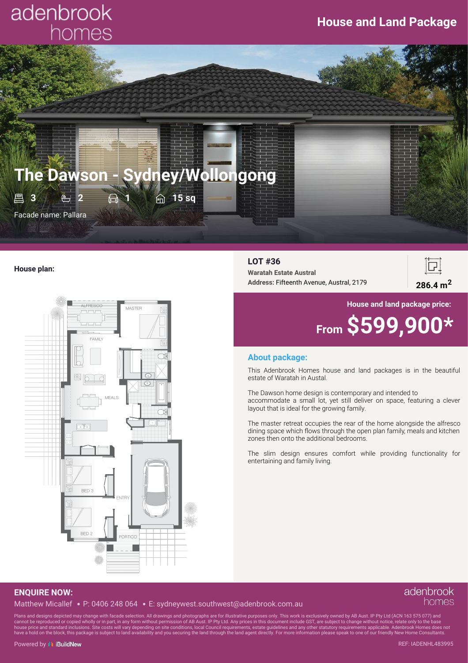# adenbrook homes



#### **House plan:**



#### **LOT #36**

**Waratah Estate Austral Address:** Fifteenth Avenue, Austral, <sup>2179</sup> **286.4 m<sup>2</sup>**



## **House and land package price:**

# **From \$599,900\***

#### **About package:**

This Adenbrook Homes house and land packages is in the beautiful estate of Waratah in Austal.

The Dawson home design is contemporary and intended to accommodate a small lot, yet still deliver on space, featuring a clever layout that is ideal for the growing family.

The master retreat occupies the rear of the home alongside the alfresco dining space which flows through the open plan family, meals and kitchen zones then onto the additional bedrooms.

The slim design ensures comfort while providing functionality for entertaining and family living.

### **ENQUIRE NOW:**

Matthew Micallef P: 0406 248 064 E: sydneywest.southwest@adenbrook.com.au

#### adenbrook homes

Plans and designs depicted may change with facade selection. All drawings and photographs are for illustrative purposes only. This work is exclusively owned by AB Aust. IP Pty Ltd (ACN 163 575 077) and<br>cannot be reproduced have a hold on the block, this package is subject to land availability and you securing the land through the land agent directly. For more information please speak to one of our friendly New Home Consultants.